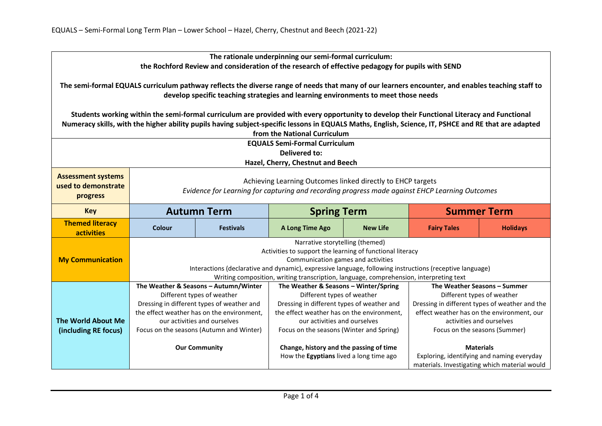| The rationale underpinning our semi-formal curriculum:<br>the Rochford Review and consideration of the research of effective pedagogy for pupils with SEND                                                                                                                                                                         |                                                                                                                                                                                                                                                                                                                                          |                  |                                                                            |                 |                                                                                             |                 |
|------------------------------------------------------------------------------------------------------------------------------------------------------------------------------------------------------------------------------------------------------------------------------------------------------------------------------------|------------------------------------------------------------------------------------------------------------------------------------------------------------------------------------------------------------------------------------------------------------------------------------------------------------------------------------------|------------------|----------------------------------------------------------------------------|-----------------|---------------------------------------------------------------------------------------------|-----------------|
| The semi-formal EQUALS curriculum pathway reflects the diverse range of needs that many of our learners encounter, and enables teaching staff to<br>develop specific teaching strategies and learning environments to meet those needs                                                                                             |                                                                                                                                                                                                                                                                                                                                          |                  |                                                                            |                 |                                                                                             |                 |
| Students working within the semi-formal curriculum are provided with every opportunity to develop their Functional Literacy and Functional<br>Numeracy skills, with the higher ability pupils having subject-specific lessons in EQUALS Maths, English, Science, IT, PSHCE and RE that are adapted<br>from the National Curriculum |                                                                                                                                                                                                                                                                                                                                          |                  |                                                                            |                 |                                                                                             |                 |
|                                                                                                                                                                                                                                                                                                                                    |                                                                                                                                                                                                                                                                                                                                          |                  | <b>EQUALS Semi-Formal Curriculum</b>                                       |                 |                                                                                             |                 |
| <b>Delivered to:</b>                                                                                                                                                                                                                                                                                                               |                                                                                                                                                                                                                                                                                                                                          |                  |                                                                            |                 |                                                                                             |                 |
| Hazel, Cherry, Chestnut and Beech                                                                                                                                                                                                                                                                                                  |                                                                                                                                                                                                                                                                                                                                          |                  |                                                                            |                 |                                                                                             |                 |
| <b>Assessment systems</b><br>used to demonstrate<br>progress                                                                                                                                                                                                                                                                       | Achieving Learning Outcomes linked directly to EHCP targets<br>Evidence for Learning for capturing and recording progress made against EHCP Learning Outcomes                                                                                                                                                                            |                  |                                                                            |                 |                                                                                             |                 |
| <b>Key</b>                                                                                                                                                                                                                                                                                                                         | <b>Autumn Term</b>                                                                                                                                                                                                                                                                                                                       |                  | <b>Spring Term</b>                                                         |                 | <b>Summer Term</b>                                                                          |                 |
| <b>Themed literacy</b><br>activities                                                                                                                                                                                                                                                                                               | Colour                                                                                                                                                                                                                                                                                                                                   | <b>Festivals</b> | A Long Time Ago                                                            | <b>New Life</b> | <b>Fairy Tales</b>                                                                          | <b>Holidays</b> |
| <b>My Communication</b>                                                                                                                                                                                                                                                                                                            | Narrative storytelling (themed)<br>Activities to support the learning of functional literacy<br>Communication games and activities<br>Interactions (declarative and dynamic), expressive language, following instructions (receptive language)<br>Writing composition, writing transcription, language, comprehension, interpreting text |                  |                                                                            |                 |                                                                                             |                 |
|                                                                                                                                                                                                                                                                                                                                    | The Weather & Seasons - Autumn/Winter                                                                                                                                                                                                                                                                                                    |                  | The Weather & Seasons - Winter/Spring                                      |                 | The Weather Seasons - Summer                                                                |                 |
|                                                                                                                                                                                                                                                                                                                                    | Different types of weather                                                                                                                                                                                                                                                                                                               |                  | Different types of weather                                                 |                 | Different types of weather                                                                  |                 |
|                                                                                                                                                                                                                                                                                                                                    | Dressing in different types of weather and                                                                                                                                                                                                                                                                                               |                  | Dressing in different types of weather and                                 |                 | Dressing in different types of weather and the                                              |                 |
| <b>The World About Me</b>                                                                                                                                                                                                                                                                                                          | the effect weather has on the environment,                                                                                                                                                                                                                                                                                               |                  | the effect weather has on the environment,<br>our activities and ourselves |                 | effect weather has on the environment, our<br>activities and ourselves                      |                 |
| (including RE focus)                                                                                                                                                                                                                                                                                                               | our activities and ourselves<br>Focus on the seasons (Autumn and Winter)                                                                                                                                                                                                                                                                 |                  | Focus on the seasons (Winter and Spring)                                   |                 | Focus on the seasons (Summer)                                                               |                 |
|                                                                                                                                                                                                                                                                                                                                    |                                                                                                                                                                                                                                                                                                                                          |                  |                                                                            |                 |                                                                                             |                 |
|                                                                                                                                                                                                                                                                                                                                    | <b>Our Community</b>                                                                                                                                                                                                                                                                                                                     |                  | Change, history and the passing of time                                    |                 | <b>Materials</b>                                                                            |                 |
|                                                                                                                                                                                                                                                                                                                                    |                                                                                                                                                                                                                                                                                                                                          |                  | How the Egyptians lived a long time ago                                    |                 | Exploring, identifying and naming everyday<br>materials. Investigating which material would |                 |
|                                                                                                                                                                                                                                                                                                                                    |                                                                                                                                                                                                                                                                                                                                          |                  |                                                                            |                 |                                                                                             |                 |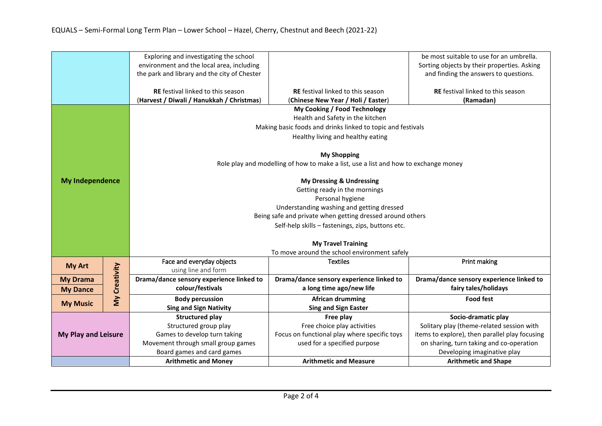|                            |               | Exploring and investigating the school                                              |                                                                                                | be most suitable to use for an umbrella.    |  |  |  |
|----------------------------|---------------|-------------------------------------------------------------------------------------|------------------------------------------------------------------------------------------------|---------------------------------------------|--|--|--|
|                            |               | environment and the local area, including                                           |                                                                                                | Sorting objects by their properties. Asking |  |  |  |
|                            |               | the park and library and the city of Chester                                        |                                                                                                | and finding the answers to questions.       |  |  |  |
|                            |               |                                                                                     |                                                                                                |                                             |  |  |  |
|                            |               | RE festival linked to this season                                                   | <b>RE</b> festival linked to this season                                                       | RE festival linked to this season           |  |  |  |
|                            |               | (Harvest / Diwali / Hanukkah / Christmas)                                           | (Chinese New Year / Holi / Easter)                                                             | (Ramadan)                                   |  |  |  |
|                            |               | My Cooking / Food Technology                                                        |                                                                                                |                                             |  |  |  |
|                            |               | Health and Safety in the kitchen                                                    |                                                                                                |                                             |  |  |  |
|                            |               | Making basic foods and drinks linked to topic and festivals                         |                                                                                                |                                             |  |  |  |
|                            |               | Healthy living and healthy eating                                                   |                                                                                                |                                             |  |  |  |
|                            |               |                                                                                     |                                                                                                |                                             |  |  |  |
|                            |               | <b>My Shopping</b>                                                                  |                                                                                                |                                             |  |  |  |
|                            |               | Role play and modelling of how to make a list, use a list and how to exchange money |                                                                                                |                                             |  |  |  |
| <b>My Independence</b>     |               | <b>My Dressing &amp; Undressing</b>                                                 |                                                                                                |                                             |  |  |  |
|                            |               | Getting ready in the mornings                                                       |                                                                                                |                                             |  |  |  |
|                            |               | Personal hygiene                                                                    |                                                                                                |                                             |  |  |  |
|                            |               | Understanding washing and getting dressed                                           |                                                                                                |                                             |  |  |  |
|                            |               | Being safe and private when getting dressed around others                           |                                                                                                |                                             |  |  |  |
|                            |               | Self-help skills - fastenings, zips, buttons etc.                                   |                                                                                                |                                             |  |  |  |
|                            |               |                                                                                     |                                                                                                |                                             |  |  |  |
|                            |               | <b>My Travel Training</b>                                                           |                                                                                                |                                             |  |  |  |
|                            |               | To move around the school environment safely                                        |                                                                                                |                                             |  |  |  |
| <b>My Art</b>              |               | Face and everyday objects                                                           | <b>Textiles</b>                                                                                | Print making                                |  |  |  |
|                            |               | using line and form                                                                 |                                                                                                |                                             |  |  |  |
| <b>My Drama</b>            | My Creativity | Drama/dance sensory experience linked to                                            | Drama/dance sensory experience linked to                                                       | Drama/dance sensory experience linked to    |  |  |  |
| <b>My Dance</b>            |               | colour/festivals                                                                    | a long time ago/new life                                                                       | fairy tales/holidays                        |  |  |  |
| <b>My Music</b>            |               | <b>Body percussion</b>                                                              | <b>African drumming</b>                                                                        | <b>Food fest</b>                            |  |  |  |
|                            |               | <b>Sing and Sign Nativity</b>                                                       | <b>Sing and Sign Easter</b>                                                                    |                                             |  |  |  |
|                            |               | <b>Structured play</b>                                                              | Free play                                                                                      | Socio-dramatic play                         |  |  |  |
| <b>My Play and Leisure</b> |               | Structured group play                                                               | Free choice play activities                                                                    | Solitary play (theme-related session with   |  |  |  |
|                            |               | Games to develop turn taking                                                        | Focus on functional play where specific toys<br>items to explore), then parallel play focusing |                                             |  |  |  |
|                            |               | Movement through small group games                                                  | used for a specified purpose<br>on sharing, turn taking and co-operation                       |                                             |  |  |  |
|                            |               | Board games and card games                                                          |                                                                                                | Developing imaginative play                 |  |  |  |
|                            |               | <b>Arithmetic and Money</b>                                                         | <b>Arithmetic and Measure</b>                                                                  | <b>Arithmetic and Shape</b>                 |  |  |  |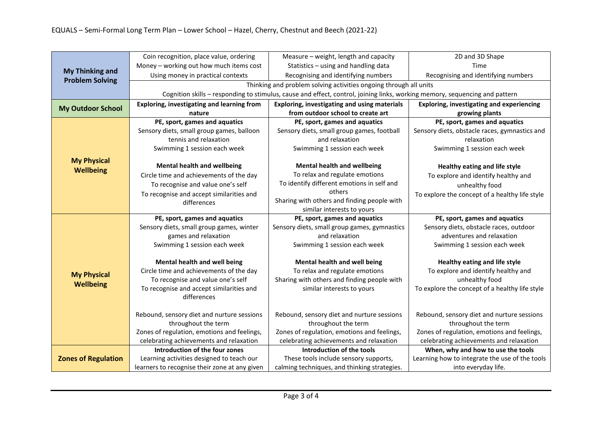|                                                  | Coin recognition, place value, ordering                                                                                     | Measure - weight, length and capacity        | 2D and 3D Shape                                  |  |  |  |
|--------------------------------------------------|-----------------------------------------------------------------------------------------------------------------------------|----------------------------------------------|--------------------------------------------------|--|--|--|
|                                                  | Money - working out how much items cost                                                                                     | Statistics - using and handling data         | Time                                             |  |  |  |
| <b>My Thinking and</b><br><b>Problem Solving</b> | Using money in practical contexts                                                                                           | Recognising and identifying numbers          | Recognising and identifying numbers              |  |  |  |
|                                                  | Thinking and problem solving activities ongoing through all units                                                           |                                              |                                                  |  |  |  |
|                                                  | Cognition skills - responding to stimulus, cause and effect, control, joining links, working memory, sequencing and pattern |                                              |                                                  |  |  |  |
| <b>My Outdoor School</b>                         | Exploring, investigating and learning from                                                                                  | Exploring, investigating and using materials | <b>Exploring, investigating and experiencing</b> |  |  |  |
|                                                  | nature                                                                                                                      | from outdoor school to create art            | growing plants                                   |  |  |  |
|                                                  | PE, sport, games and aquatics                                                                                               | PE, sport, games and aquatics                | PE, sport, games and aquatics                    |  |  |  |
|                                                  | Sensory diets, small group games, balloon                                                                                   | Sensory diets, small group games, football   | Sensory diets, obstacle races, gymnastics and    |  |  |  |
|                                                  | tennis and relaxation                                                                                                       | and relaxation                               | relaxation                                       |  |  |  |
|                                                  | Swimming 1 session each week                                                                                                | Swimming 1 session each week                 | Swimming 1 session each week                     |  |  |  |
| <b>My Physical</b>                               | <b>Mental health and wellbeing</b>                                                                                          | <b>Mental health and wellbeing</b>           | Healthy eating and life style                    |  |  |  |
| <b>Wellbeing</b>                                 | Circle time and achievements of the day                                                                                     | To relax and regulate emotions               | To explore and identify healthy and              |  |  |  |
|                                                  | To recognise and value one's self                                                                                           | To identify different emotions in self and   | unhealthy food                                   |  |  |  |
|                                                  | To recognise and accept similarities and                                                                                    | others                                       | To explore the concept of a healthy life style   |  |  |  |
|                                                  | differences                                                                                                                 | Sharing with others and finding people with  |                                                  |  |  |  |
|                                                  |                                                                                                                             | similar interests to yours                   |                                                  |  |  |  |
|                                                  | PE, sport, games and aquatics                                                                                               | PE, sport, games and aquatics                | PE, sport, games and aquatics                    |  |  |  |
|                                                  | Sensory diets, small group games, winter                                                                                    | Sensory diets, small group games, gymnastics | Sensory diets, obstacle races, outdoor           |  |  |  |
|                                                  | games and relaxation                                                                                                        | and relaxation                               | adventures and relaxation                        |  |  |  |
|                                                  | Swimming 1 session each week                                                                                                | Swimming 1 session each week                 | Swimming 1 session each week                     |  |  |  |
|                                                  | Mental health and well being                                                                                                | Mental health and well being                 | Healthy eating and life style                    |  |  |  |
| <b>My Physical</b>                               | Circle time and achievements of the day                                                                                     | To relax and regulate emotions               | To explore and identify healthy and              |  |  |  |
|                                                  | To recognise and value one's self                                                                                           | Sharing with others and finding people with  | unhealthy food                                   |  |  |  |
| <b>Wellbeing</b>                                 | To recognise and accept similarities and<br>differences                                                                     | similar interests to yours                   | To explore the concept of a healthy life style   |  |  |  |
|                                                  |                                                                                                                             |                                              |                                                  |  |  |  |
|                                                  | Rebound, sensory diet and nurture sessions                                                                                  | Rebound, sensory diet and nurture sessions   | Rebound, sensory diet and nurture sessions       |  |  |  |
|                                                  | throughout the term                                                                                                         | throughout the term                          | throughout the term                              |  |  |  |
|                                                  | Zones of regulation, emotions and feelings,                                                                                 | Zones of regulation, emotions and feelings,  | Zones of regulation, emotions and feelings,      |  |  |  |
|                                                  | celebrating achievements and relaxation                                                                                     | celebrating achievements and relaxation      | celebrating achievements and relaxation          |  |  |  |
|                                                  | Introduction of the four zones                                                                                              | Introduction of the tools                    | When, why and how to use the tools               |  |  |  |
| <b>Zones of Regulation</b>                       | Learning activities designed to teach our                                                                                   | These tools include sensory supports,        | Learning how to integrate the use of the tools   |  |  |  |
|                                                  | learners to recognise their zone at any given                                                                               | calming techniques, and thinking strategies. | into everyday life.                              |  |  |  |